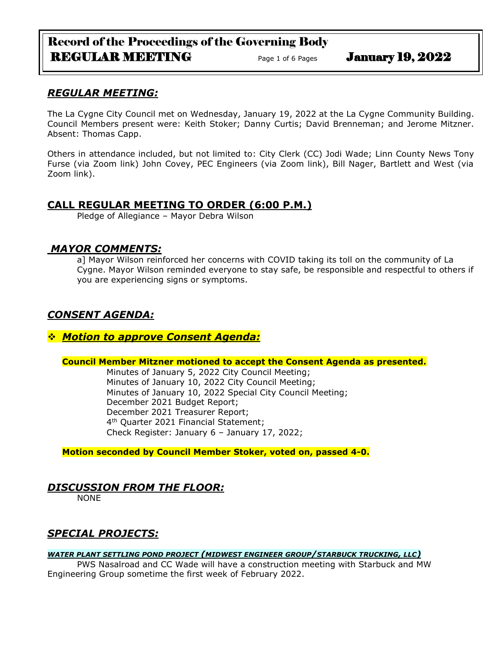# Record of the Proceedings of the Governing Body REGULAR MEETING Page 1 of 6 Pages January 19, 2022

# *REGULAR MEETING:*

The La Cygne City Council met on Wednesday, January 19, 2022 at the La Cygne Community Building. Council Members present were: Keith Stoker; Danny Curtis; David Brenneman; and Jerome Mitzner. Absent: Thomas Capp.

Others in attendance included, but not limited to: City Clerk (CC) Jodi Wade; Linn County News Tony Furse (via Zoom link) John Covey, PEC Engineers (via Zoom link), Bill Nager, Bartlett and West (via Zoom link).

# **CALL REGULAR MEETING TO ORDER (6:00 P.M.)**

Pledge of Allegiance – Mayor Debra Wilson

## *MAYOR COMMENTS:*

a] Mayor Wilson reinforced her concerns with COVID taking its toll on the community of La Cygne. Mayor Wilson reminded everyone to stay safe, be responsible and respectful to others if you are experiencing signs or symptoms.

# *CONSENT AGENDA:*

# ❖ *Motion to approve Consent Agenda:*

### **Council Member Mitzner motioned to accept the Consent Agenda as presented.**

Minutes of January 5, 2022 City Council Meeting; Minutes of January 10, 2022 City Council Meeting; Minutes of January 10, 2022 Special City Council Meeting; December 2021 Budget Report; December 2021 Treasurer Report; 4 th Quarter 2021 Financial Statement; Check Register: January 6 – January 17, 2022;

**Motion seconded by Council Member Stoker, voted on, passed 4-0.** 

# *DISCUSSION FROM THE FLOOR:*

NONE

# *SPECIAL PROJECTS:*

### *WATER PLANT SETTLING POND PROJECT (MIDWEST ENGINEER GROUP/STARBUCK TRUCKING, LLC)*

PWS Nasalroad and CC Wade will have a construction meeting with Starbuck and MW Engineering Group sometime the first week of February 2022.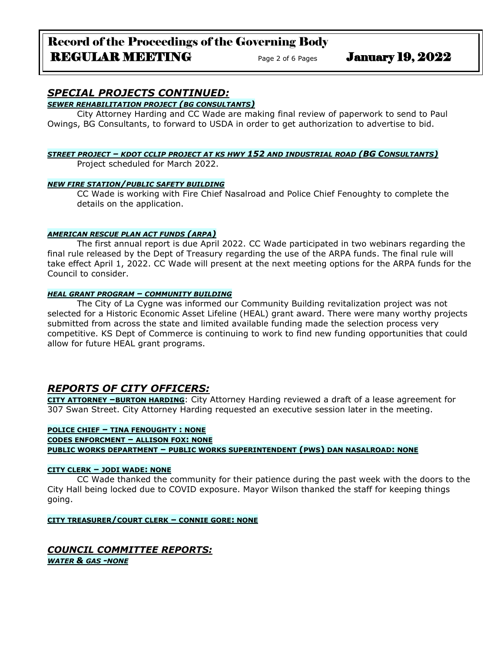# Record of the Proceedings of the Governing Body REGULAR MEETING Page 2 of 6 Pages January 19, 2022

# *SPECIAL PROJECTS CONTINUED:*

*SEWER REHABILITATION PROJECT (BG CONSULTANTS)*

City Attorney Harding and CC Wade are making final review of paperwork to send to Paul Owings, BG Consultants, to forward to USDA in order to get authorization to advertise to bid.

### *STREET PROJECT – KDOT CCLIP PROJECT AT KS HWY 152 AND INDUSTRIAL ROAD (BG CONSULTANTS)* Project scheduled for March 2022.

### *NEW FIRE STATION/PUBLIC SAFETY BUILDING*

CC Wade is working with Fire Chief Nasalroad and Police Chief Fenoughty to complete the details on the application.

### *AMERICAN RESCUE PLAN ACT FUNDS (ARPA)*

The first annual report is due April 2022. CC Wade participated in two webinars regarding the final rule released by the Dept of Treasury regarding the use of the ARPA funds. The final rule will take effect April 1, 2022. CC Wade will present at the next meeting options for the ARPA funds for the Council to consider.

### *HEAL GRANT PROGRAM – COMMUNITY BUILDING*

The City of La Cygne was informed our Community Building revitalization project was not selected for a Historic Economic Asset Lifeline (HEAL) grant award. There were many worthy projects submitted from across the state and limited available funding made the selection process very competitive. KS Dept of Commerce is continuing to work to find new funding opportunities that could allow for future HEAL grant programs.

# *REPORTS OF CITY OFFICERS:*

**CITY ATTORNEY –BURTON HARDING**: City Attorney Harding reviewed a draft of a lease agreement for 307 Swan Street. City Attorney Harding requested an executive session later in the meeting.

**POLICE CHIEF – TINA FENOUGHTY : NONE CODES ENFORCMENT – ALLISON FOX: NONE PUBLIC WORKS DEPARTMENT – PUBLIC WORKS SUPERINTENDENT (PWS) DAN NASALROAD: NONE**

### **CITY CLERK – JODI WADE: NONE**

CC Wade thanked the community for their patience during the past week with the doors to the City Hall being locked due to COVID exposure. Mayor Wilson thanked the staff for keeping things going.

**CITY TREASURER/COURT CLERK – CONNIE GORE: NONE**

### *COUNCIL COMMITTEE REPORTS: WATER & GAS -NONE*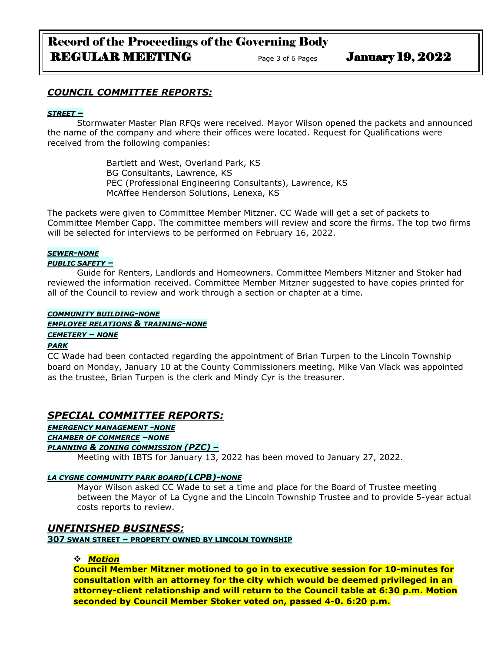# Record of the Proceedings of the Governing Body REGULAR MEETING Page 3 of 6 Pages January 19, 2022

### *COUNCIL COMMITTEE REPORTS:*

### *STREET –*

Stormwater Master Plan RFQs were received. Mayor Wilson opened the packets and announced the name of the company and where their offices were located. Request for Qualifications were received from the following companies:

> Bartlett and West, Overland Park, KS BG Consultants, Lawrence, KS PEC (Professional Engineering Consultants), Lawrence, KS McAffee Henderson Solutions, Lenexa, KS

The packets were given to Committee Member Mitzner. CC Wade will get a set of packets to Committee Member Capp. The committee members will review and score the firms. The top two firms will be selected for interviews to be performed on February 16, 2022.

### *SEWER-NONE*

### *PUBLIC SAFETY –*

Guide for Renters, Landlords and Homeowners. Committee Members Mitzner and Stoker had reviewed the information received. Committee Member Mitzner suggested to have copies printed for all of the Council to review and work through a section or chapter at a time.

### *COMMUNITY BUILDING-NONE EMPLOYEE RELATIONS & TRAINING-NONE CEMETERY – NONE*

### *PARK*

CC Wade had been contacted regarding the appointment of Brian Turpen to the Lincoln Township board on Monday, January 10 at the County Commissioners meeting. Mike Van Vlack was appointed as the trustee, Brian Turpen is the clerk and Mindy Cyr is the treasurer.

# *SPECIAL COMMITTEE REPORTS:*

*EMERGENCY MANAGEMENT -NONE CHAMBER OF COMMERCE –NONE*

# *PLANNING & ZONING COMMISSION (PZC) –*

Meeting with IBTS for January 13, 2022 has been moved to January 27, 2022.

### *LA CYGNE COMMUNITY PARK BOARD(LCPB)-NONE*

Mayor Wilson asked CC Wade to set a time and place for the Board of Trustee meeting between the Mayor of La Cygne and the Lincoln Township Trustee and to provide 5-year actual costs reports to review.

### *UNFINISHED BUSINESS:*

**307 SWAN STREET – PROPERTY OWNED BY LINCOLN TOWNSHIP**

### ❖ *Motion*

**Council Member Mitzner motioned to go in to executive session for 10-minutes for consultation with an attorney for the city which would be deemed privileged in an attorney-client relationship and will return to the Council table at 6:30 p.m. Motion seconded by Council Member Stoker voted on, passed 4-0. 6:20 p.m.**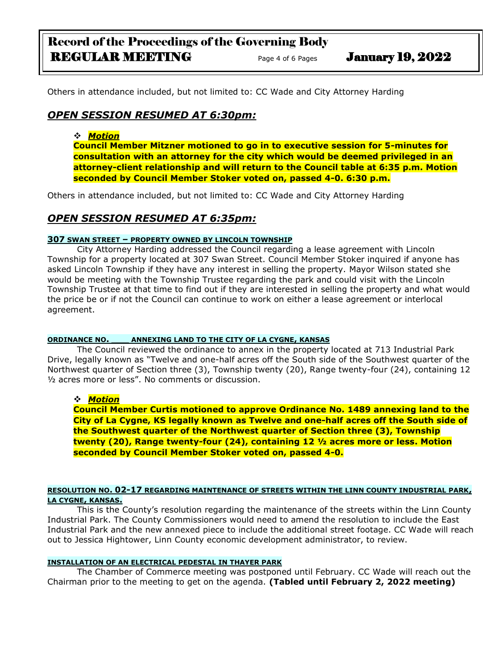# Record of the Proceedings of the Governing Body REGULAR MEETING Page 4 of 6 Pages January 19, 2022

Others in attendance included, but not limited to: CC Wade and City Attorney Harding

# *OPEN SESSION RESUMED AT 6:30pm:*

### ❖ *Motion*

**Council Member Mitzner motioned to go in to executive session for 5-minutes for consultation with an attorney for the city which would be deemed privileged in an attorney-client relationship and will return to the Council table at 6:35 p.m. Motion seconded by Council Member Stoker voted on, passed 4-0. 6:30 p.m.**

Others in attendance included, but not limited to: CC Wade and City Attorney Harding

# *OPEN SESSION RESUMED AT 6:35pm:*

### **307 SWAN STREET – PROPERTY OWNED BY LINCOLN TOWNSHIP**

City Attorney Harding addressed the Council regarding a lease agreement with Lincoln Township for a property located at 307 Swan Street. Council Member Stoker inquired if anyone has asked Lincoln Township if they have any interest in selling the property. Mayor Wilson stated she would be meeting with the Township Trustee regarding the park and could visit with the Lincoln Township Trustee at that time to find out if they are interested in selling the property and what would the price be or if not the Council can continue to work on either a lease agreement or interlocal agreement.

### **ORDINANCE NO. \_\_\_ ANNEXING LAND TO THE CITY OF LA CYGNE, KANSAS**

The Council reviewed the ordinance to annex in the property located at 713 Industrial Park Drive, legally known as "Twelve and one-half acres off the South side of the Southwest quarter of the Northwest quarter of Section three (3), Township twenty (20), Range twenty-four (24), containing 12 ½ acres more or less". No comments or discussion.

### ❖ *Motion*

**Council Member Curtis motioned to approve Ordinance No. 1489 annexing land to the City of La Cygne, KS legally known as Twelve and one-half acres off the South side of the Southwest quarter of the Northwest quarter of Section three (3), Township twenty (20), Range twenty-four (24), containing 12 ½ acres more or less. Motion seconded by Council Member Stoker voted on, passed 4-0.**

### **RESOLUTION NO. 02-17 REGARDING MAINTENANCE OF STREETS WITHIN THE LINN COUNTY INDUSTRIAL PARK, LA CYGNE, KANSAS.**

This is the County's resolution regarding the maintenance of the streets within the Linn County Industrial Park. The County Commissioners would need to amend the resolution to include the East Industrial Park and the new annexed piece to include the additional street footage. CC Wade will reach out to Jessica Hightower, Linn County economic development administrator, to review.

### **INSTALLATION OF AN ELECTRICAL PEDESTAL IN THAYER PARK**

The Chamber of Commerce meeting was postponed until February. CC Wade will reach out the Chairman prior to the meeting to get on the agenda. **(Tabled until February 2, 2022 meeting)**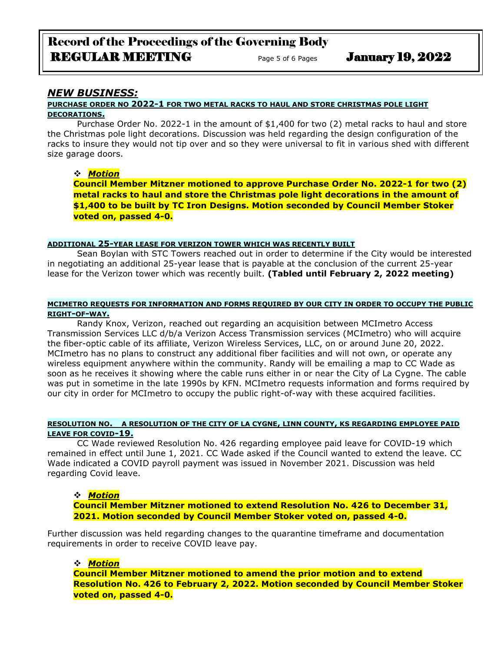# Record of the Proceedings of the Governing Body REGULAR MEETING Page 5 of 6 Pages January 19, 2022

### *NEW BUSINESS:*

### **PURCHASE ORDER NO 2022-1 FOR TWO METAL RACKS TO HAUL AND STORE CHRISTMAS POLE LIGHT DECORATIONS.**

Purchase Order No. 2022-1 in the amount of \$1,400 for two (2) metal racks to haul and store the Christmas pole light decorations. Discussion was held regarding the design configuration of the racks to insure they would not tip over and so they were universal to fit in various shed with different size garage doors.

### ❖ *Motion*

**Council Member Mitzner motioned to approve Purchase Order No. 2022-1 for two (2) metal racks to haul and store the Christmas pole light decorations in the amount of \$1,400 to be built by TC Iron Designs. Motion seconded by Council Member Stoker voted on, passed 4-0.**

#### **ADDITIONAL 25-YEAR LEASE FOR VERIZON TOWER WHICH WAS RECENTLY BUILT**

Sean Boylan with STC Towers reached out in order to determine if the City would be interested in negotiating an additional 25-year lease that is payable at the conclusion of the current 25-year lease for the Verizon tower which was recently built. **(Tabled until February 2, 2022 meeting)**

#### **MCIMETRO REQUESTS FOR INFORMATION AND FORMS REQUIRED BY OUR CITY IN ORDER TO OCCUPY THE PUBLIC RIGHT-OF-WAY.**

Randy Knox, Verizon, reached out regarding an acquisition between MCImetro Access Transmission Services LLC d/b/a Verizon Access Transmission services (MCImetro) who will acquire the fiber-optic cable of its affiliate, Verizon Wireless Services, LLC, on or around June 20, 2022. MCImetro has no plans to construct any additional fiber facilities and will not own, or operate any wireless equipment anywhere within the community. Randy will be emailing a map to CC Wade as soon as he receives it showing where the cable runs either in or near the City of La Cygne. The cable was put in sometime in the late 1990s by KFN. MCImetro requests information and forms required by our city in order for MCImetro to occupy the public right-of-way with these acquired facilities.

### **RESOLUTION NO. A RESOLUTION OF THE CITY OF LA CYGNE, LINN COUNTY, KS REGARDING EMPLOYEE PAID LEAVE FOR COVID-19.**

CC Wade reviewed Resolution No. 426 regarding employee paid leave for COVID-19 which remained in effect until June 1, 2021. CC Wade asked if the Council wanted to extend the leave. CC Wade indicated a COVID payroll payment was issued in November 2021. Discussion was held regarding Covid leave.

### ❖ *Motion*

**Council Member Mitzner motioned to extend Resolution No. 426 to December 31, 2021. Motion seconded by Council Member Stoker voted on, passed 4-0.**

Further discussion was held regarding changes to the quarantine timeframe and documentation requirements in order to receive COVID leave pay.

### ❖ *Motion*

**Council Member Mitzner motioned to amend the prior motion and to extend Resolution No. 426 to February 2, 2022. Motion seconded by Council Member Stoker voted on, passed 4-0.**